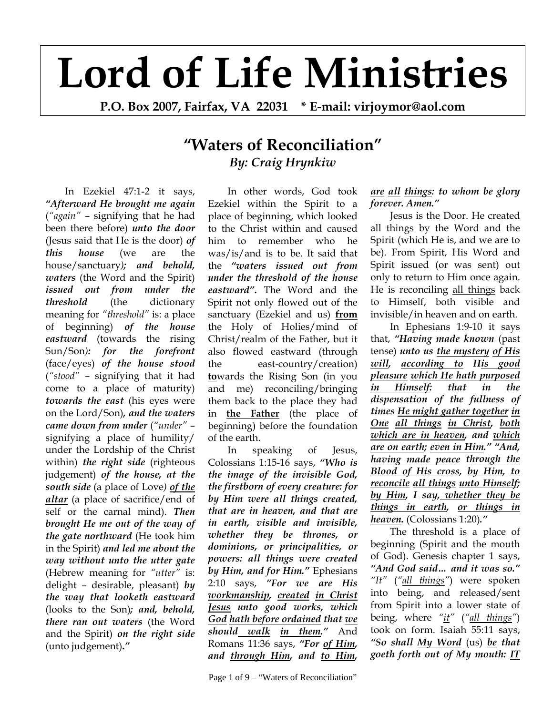## **Lord of Life Ministries**

**P.O. Box 2007, Fairfax, VA 22031 \* E-mail: virjoymor@aol.com** 

## **"Waters of Reconciliation"** *By: Craig Hrynkiw*

In Ezekiel 47:1-2 it says, *"Afterward He brought me again* (*"again"* – signifying that he had been there before) *unto the door* (Jesus said that He is the door) *of this house* (we are the house/sanctuary*); and behold, waters* (the Word and the Spirit) *issued out from under the threshold* (the dictionary meaning for *"threshold"* is: a place of beginning) *of the house eastward* (towards the rising Sun/Son*): for the forefront* (face/eyes) *of the house stood* (*"stood"* – signifying that it had come to a place of maturity) *towards the east* (his eyes were on the Lord/Son)*, and the waters came down from under* (*"under"* – signifying a place of humility/ under the Lordship of the Christ within) *the right side* (righteous judgement) *of the house, at the south side* (a place of Love*) of the altar* (a place of sacrifice/end of self or the carnal mind). *Then brought He me out of the way of the gate northward* (He took him in the Spirit) *and led me about the way without unto the utter gate* (Hebrew meaning for *"utter"* is: delight – desirable, pleasant) *by the way that looketh eastward* (looks to the Son)*; and, behold, there ran out waters* (the Word and the Spirit) *on the right side*  (unto judgement)**.***"*

In other words, God took Ezekiel within the Spirit to a place of beginning, which looked to the Christ within and caused him to remember who he was/is/and is to be. It said that the *"waters issued out from under the threshold of the house eastward"***.** The Word and the Spirit not only flowed out of the sanctuary (Ezekiel and us) **from** the Holy of Holies/mind of Christ/realm of the Father, but it also flowed eastward (through the east-country/creation) **to**wards the Rising Son (in you and me) reconciling/bringing them back to the place they had in **the Father** (the place of beginning) before the foundation of the earth.

In speaking of Jesus, Colossians 1:15-16 says, *"Who is the image of the invisible God, the firstborn of every creature: for by Him were all things created, that are in heaven, and that are in earth, visible and invisible, whether they be thrones, or dominions, or principalities, or powers: all things were created by Him, and for Him."* Ephesians 2:10 says, *"For we are His workmanship, created in Christ Jesus unto good works, which God hath before ordained that we should walk in them."* And Romans 11:36 says, *"For of Him, and through Him, and to Him,* 

## *are all things: to whom be glory forever. Amen."*

Jesus is the Door. He created all things by the Word and the Spirit (which He is, and we are to be). From Spirit, His Word and Spirit issued (or was sent) out only to return to Him once again. He is reconciling all things back to Himself, both visible and invisible/in heaven and on earth.

In Ephesians 1:9-10 it says that, *"Having made known* (past tense) *unto us the mystery of His will, according to His good pleasure which He hath purposed in Himself: that in the dispensation of the fullness of times He might gather together in One all things in Christ, both which are in heaven, and which are on earth; even in Him." "And, having made peace through the Blood of His cross, by Him, to reconcile all things unto Himself; by Him, I say, whether they be things in earth, or things in heaven.* (Colossians 1:20)*."*

The threshold is a place of beginning (Spirit and the mouth of God). Genesis chapter 1 says, *"And God said… and it was so." "It"* (*"all things"*) were spoken into being, and released/sent from Spirit into a lower state of being, where *"it"* (*"all things"*) took on form. Isaiah 55:11 says, *"So shall My Word* (us) *be that goeth forth out of My mouth: IT*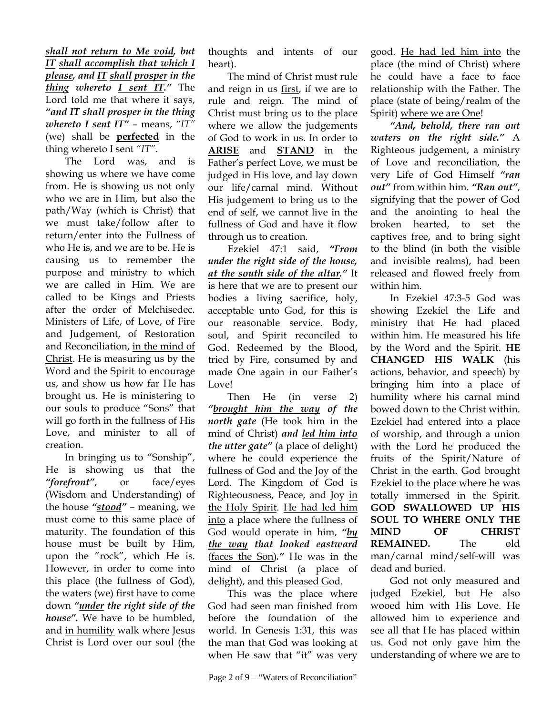*shall not return to Me void, but IT shall accomplish that which I please, and IT shall prosper in the thing whereto I sent IT."* The Lord told me that where it says, *"and IT shall prosper in the thing whereto I sent IT"* – means, *"IT"* (we) shall be **perfected** in the thing whereto I sent *"IT"*.

 The Lord was, and is showing us where we have come from. He is showing us not only who we are in Him, but also the path/Way (which is Christ) that we must take/follow after to return/enter into the Fullness of who He is, and we are to be. He is causing us to remember the purpose and ministry to which we are called in Him. We are called to be Kings and Priests after the order of Melchisedec. Ministers of Life, of Love, of Fire and Judgement, of Restoration and Reconciliation, in the mind of Christ. He is measuring us by the Word and the Spirit to encourage us, and show us how far He has brought us. He is ministering to our souls to produce "Sons" that will go forth in the fullness of His Love, and minister to all of creation.

 In bringing us to "Sonship", He is showing us that the *"forefront"*, or face/eyes (Wisdom and Understanding) of the house *"stood"* – meaning, we must come to this same place of maturity. The foundation of this house must be built by Him, upon the "rock", which He is. However, in order to come into this place (the fullness of God), the waters (we) first have to come down *"under the right side of the house".* We have to be humbled, and in humility walk where Jesus Christ is Lord over our soul (the

thoughts and intents of our heart).

The mind of Christ must rule and reign in us first, if we are to rule and reign. The mind of Christ must bring us to the place where we allow the judgements of God to work in us. In order to **ARISE** and **STAND** in the Father's perfect Love, we must be judged in His love, and lay down our life/carnal mind. Without His judgement to bring us to the end of self, we cannot live in the fullness of God and have it flow through us to creation.

Ezekiel 47:1 said, *"From under the right side of the house, at the south side of the altar."* It is here that we are to present our bodies a living sacrifice, holy, acceptable unto God, for this is our reasonable service. Body, soul, and Spirit reconciled to God. Redeemed by the Blood, tried by Fire, consumed by and made One again in our Father's Love!

 Then He (in verse 2) *"brought him the way of the north gate* (He took him in the mind of Christ) *and led him into the utter gate"* (a place of delight) where he could experience the fullness of God and the Joy of the Lord. The Kingdom of God is Righteousness, Peace, and Joy in the Holy Spirit. He had led him into a place where the fullness of God would operate in him, *"by the way that looked eastward* (faces the Son)*."* He was in the mind of Christ (a place of delight), and this pleased God.

This was the place where God had seen man finished from before the foundation of the world. In Genesis 1:31, this was the man that God was looking at when He saw that "it" was very

good. He had led him into the place (the mind of Christ) where he could have a face to face relationship with the Father. The place (state of being/realm of the Spirit) where we are One!

*"And, behold, there ran out waters on the right side."* A Righteous judgement, a ministry of Love and reconciliation, the very Life of God Himself *"ran out"* from within him. *"Ran out"*, signifying that the power of God and the anointing to heal the broken hearted, to set the captives free, and to bring sight to the blind (in both the visible and invisible realms), had been released and flowed freely from within him.

 In Ezekiel 47:3-5 God was showing Ezekiel the Life and ministry that He had placed within him. He measured his life by the Word and the Spirit. **HE CHANGED HIS WALK** (his actions, behavior, and speech) by bringing him into a place of humility where his carnal mind bowed down to the Christ within. Ezekiel had entered into a place of worship, and through a union with the Lord he produced the fruits of the Spirit/Nature of Christ in the earth. God brought Ezekiel to the place where he was totally immersed in the Spirit. **GOD SWALLOWED UP HIS SOUL TO WHERE ONLY THE MIND OF CHRIST REMAINED.** The old man/carnal mind/self-will was dead and buried.

 God not only measured and judged Ezekiel, but He also wooed him with His Love. He allowed him to experience and see all that He has placed within us. God not only gave him the understanding of where we are to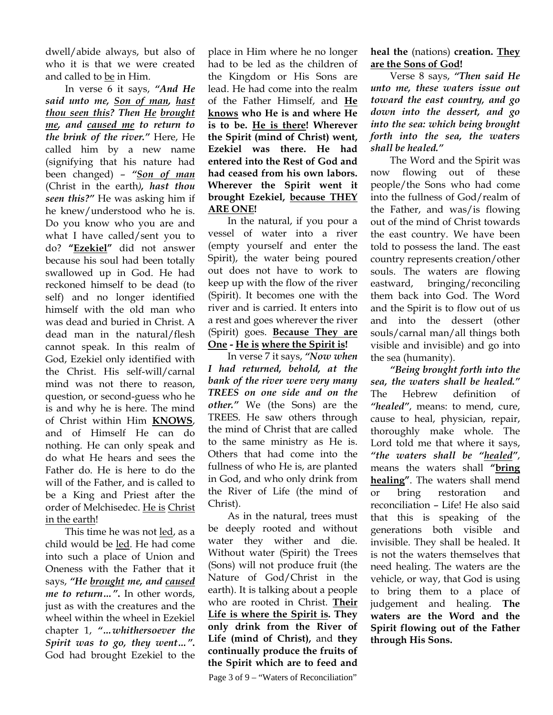dwell/abide always, but also of who it is that we were created and called to be in Him.

In verse 6 it says, *"And He said unto me, Son of man, hast thou seen this? Then He brought me, and caused me to return to the brink of the river."* Here, He called him by a new name (signifying that his nature had been changed) – *"Son of man* (Christ in the earth*), hast thou seen this?"* He was asking him if he knew/understood who he is. Do you know who you are and what I have called/sent you to do? **"Ezekiel"** did not answer because his soul had been totally swallowed up in God. He had reckoned himself to be dead (to self) and no longer identified himself with the old man who was dead and buried in Christ. A dead man in the natural/flesh cannot speak. In this realm of God, Ezekiel only identified with the Christ. His self-will/carnal mind was not there to reason, question, or second-guess who he is and why he is here. The mind of Christ within Him **KNOWS**, and of Himself He can do nothing. He can only speak and do what He hears and sees the Father do. He is here to do the will of the Father, and is called to be a King and Priest after the order of Melchisedec. He is Christ in the earth!

 This time he was not led, as a child would be led. He had come into such a place of Union and Oneness with the Father that it says, *"He brought me, and caused me to return…"***.** In other words, just as with the creatures and the wheel within the wheel in Ezekiel chapter 1, *"…whithersoever the Spirit was to go, they went…"***.** God had brought Ezekiel to the

place in Him where he no longer had to be led as the children of the Kingdom or His Sons are lead. He had come into the realm of the Father Himself, and **He knows who He is and where He is to be. He is there! Wherever the Spirit (mind of Christ) went, Ezekiel was there. He had entered into the Rest of God and had ceased from his own labors. Wherever the Spirit went it brought Ezekiel, because THEY ARE ONE!** 

In the natural, if you pour a vessel of water into a river (empty yourself and enter the Spirit), the water being poured out does not have to work to keep up with the flow of the river (Spirit). It becomes one with the river and is carried. It enters into a rest and goes wherever the river (Spirit) goes. **Because They are One - He is where the Spirit is!**

 In verse 7 it says, *"Now when I had returned, behold, at the bank of the river were very many TREES on one side and on the other."* We (the Sons) are the TREES. He saw others through the mind of Christ that are called to the same ministry as He is. Others that had come into the fullness of who He is, are planted in God, and who only drink from the River of Life (the mind of Christ).

As in the natural, trees must be deeply rooted and without water they wither and die. Without water (Spirit) the Trees (Sons) will not produce fruit (the Nature of God/Christ in the earth). It is talking about a people who are rooted in Christ. **Their Life is where the Spirit is. They only drink from the River of Life (mind of Christ),** and **they continually produce the fruits of the Spirit which are to feed and** 

Page 3 of 9 – "Waters of Reconciliation"

**heal the** (nations) **creation. They are the Sons of God!** 

 Verse 8 says, *"Then said He unto me, these waters issue out toward the east country, and go down into the dessert, and go into the sea: which being brought forth into the sea, the waters shall be healed."*

The Word and the Spirit was now flowing out of these people/the Sons who had come into the fullness of God/realm of the Father, and was/is flowing out of the mind of Christ towards the east country. We have been told to possess the land. The east country represents creation/other souls. The waters are flowing eastward, bringing/reconciling them back into God. The Word and the Spirit is to flow out of us and into the dessert (other souls/carnal man/all things both visible and invisible) and go into the sea (humanity).

*"Being brought forth into the sea, the waters shall be healed."* The Hebrew definition of *"healed"*, means: to mend, cure, cause to heal, physician, repair, thoroughly make whole. The Lord told me that where it says, *"the waters shall be "healed"*, means the waters shall **"bring healing"**. The waters shall mend or bring restoration and reconciliation – Life! He also said that this is speaking of the generations both visible and invisible. They shall be healed. It is not the waters themselves that need healing. The waters are the vehicle, or way, that God is using to bring them to a place of judgement and healing. **The waters are the Word and the Spirit flowing out of the Father through His Sons.**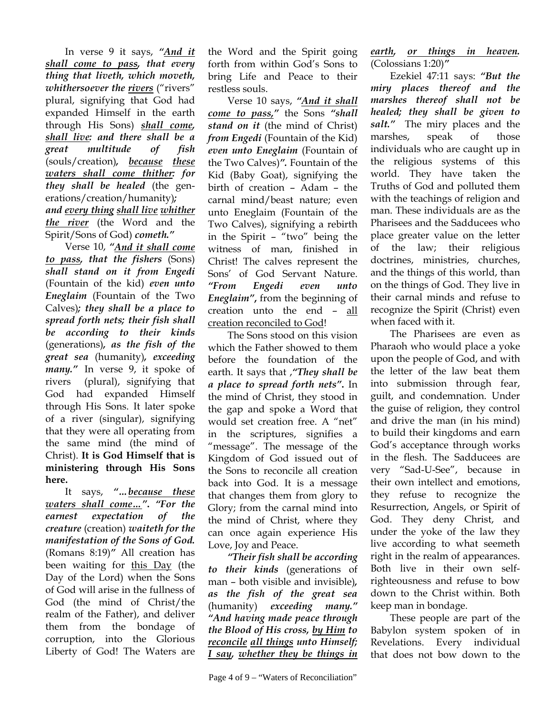In verse 9 it says, *"And it shall come to pass, that every thing that liveth, which moveth, whithersoever the <u>rivers</u>* ("rivers" plural, signifying that God had expanded Himself in the earth through His Sons) *shall come, shall live: and there shall be a great multitude of fish* (souls/creation)*, because these waters shall come thither: for they shall be healed* (the generations/creation/humanity)*; and every thing shall live whither the river* (the Word and the Spirit/Sons of God) *cometh."*

Verse 10, *"And it shall come to pass, that the fishers* (Sons) *shall stand on it from Engedi* (Fountain of the kid) *even unto Eneglaim* (Fountain of the Two Calves)*; they shall be a place to spread forth nets; their fish shall be according to their kinds* (generations)*, as the fish of the great sea* (humanity)*, exceeding many."* In verse 9, it spoke of rivers (plural), signifying that God had expanded Himself through His Sons. It later spoke of a river (singular), signifying that they were all operating from the same mind (the mind of Christ). **It is God Himself that is ministering through His Sons here.** 

It says, *"…because these waters shall come…"***.** *"For the earnest expectation of the creature* (creation) *waiteth for the manifestation of the Sons of God.*  (Romans 8:19)*"* All creation has been waiting for this Day (the Day of the Lord) when the Sons of God will arise in the fullness of God (the mind of Christ/the realm of the Father), and deliver them from the bondage of corruption, into the Glorious Liberty of God! The Waters are

the Word and the Spirit going forth from within God's Sons to bring Life and Peace to their restless souls.

Verse 10 says, *"And it shall come to pass,"* the Sons *"shall stand on it* (the mind of Christ) *from Engedi* (Fountain of the Kid) *even unto Eneglaim* (Fountain of the Two Calves)*".* Fountain of the Kid (Baby Goat), signifying the birth of creation – Adam – the carnal mind/beast nature; even unto Eneglaim (Fountain of the Two Calves), signifying a rebirth in the Spirit – "two" being the witness of man, finished in Christ! The calves represent the Sons' of God Servant Nature. *"From Engedi even unto Eneglaim"***,** from the beginning of creation unto the end – all creation reconciled to God!

 The Sons stood on this vision which the Father showed to them before the foundation of the earth. It says that ,*"They shall be a place to spread forth nets"***.** In the mind of Christ, they stood in the gap and spoke a Word that would set creation free. A "net" in the scriptures, signifies a "message". The message of the Kingdom of God issued out of the Sons to reconcile all creation back into God. It is a message that changes them from glory to Glory; from the carnal mind into the mind of Christ, where they can once again experience His Love, Joy and Peace.

*"Their fish shall be according to their kinds* (generations of man – both visible and invisible)*, as the fish of the great sea* (humanity) *exceeding many." "And having made peace through the Blood of His cross, by Him to reconcile all things unto Himself; I say, whether they be things in* 

Page 4 of 9 – "Waters of Reconciliation"

*earth, or things in heaven.* (Colossians 1:20)*"*

Ezekiel 47:11 says: *"But the miry places thereof and the marshes thereof shall not be healed; they shall be given to salt."* The miry places and the marshes, speak of those individuals who are caught up in the religious systems of this world. They have taken the Truths of God and polluted them with the teachings of religion and man. These individuals are as the Pharisees and the Sadducees who place greater value on the letter of the law; their religious doctrines, ministries, churches, and the things of this world, than on the things of God. They live in their carnal minds and refuse to recognize the Spirit (Christ) even when faced with it.

The Pharisees are even as Pharaoh who would place a yoke upon the people of God, and with the letter of the law beat them into submission through fear, guilt, and condemnation. Under the guise of religion, they control and drive the man (in his mind) to build their kingdoms and earn God's acceptance through works in the flesh. The Sadducees are very "Sad-U-See", because in their own intellect and emotions, they refuse to recognize the Resurrection, Angels, or Spirit of God. They deny Christ, and under the yoke of the law they live according to what seemeth right in the realm of appearances. Both live in their own selfrighteousness and refuse to bow down to the Christ within. Both keep man in bondage.

These people are part of the Babylon system spoken of in Revelations. Every individual that does not bow down to the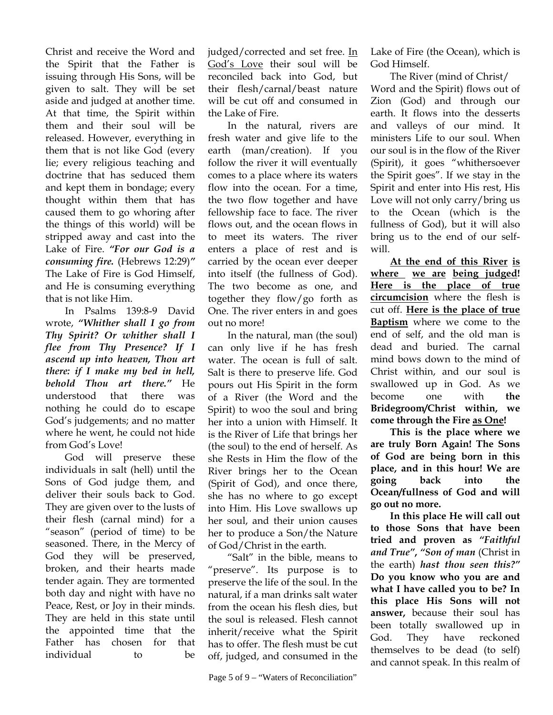Christ and receive the Word and the Spirit that the Father is issuing through His Sons, will be given to salt. They will be set aside and judged at another time. At that time, the Spirit within them and their soul will be released. However, everything in them that is not like God (every lie; every religious teaching and doctrine that has seduced them and kept them in bondage; every thought within them that has caused them to go whoring after the things of this world) will be stripped away and cast into the Lake of Fire. *"For our God is a consuming fire.* (Hebrews 12:29)*"*  The Lake of Fire is God Himself, and He is consuming everything that is not like Him.

In Psalms 139:8-9 David wrote, *"Whither shall I go from Thy Spirit? Or whither shall I flee from Thy Presence? If I ascend up into heaven, Thou art there: if I make my bed in hell, behold Thou art there."* He understood that there was nothing he could do to escape God's judgements; and no matter where he went, he could not hide from God's Love!

God will preserve these individuals in salt (hell) until the Sons of God judge them, and deliver their souls back to God. They are given over to the lusts of their flesh (carnal mind) for a "season" (period of time) to be seasoned. There, in the Mercy of God they will be preserved, broken, and their hearts made tender again. They are tormented both day and night with have no Peace, Rest, or Joy in their minds. They are held in this state until the appointed time that the Father has chosen for that individual to be

judged/corrected and set free. In God's Love their soul will be reconciled back into God, but their flesh/carnal/beast nature will be cut off and consumed in the Lake of Fire.

 In the natural, rivers are fresh water and give life to the earth (man/creation). If you follow the river it will eventually comes to a place where its waters flow into the ocean. For a time, the two flow together and have fellowship face to face. The river flows out, and the ocean flows in to meet its waters. The river enters a place of rest and is carried by the ocean ever deeper into itself (the fullness of God). The two become as one, and together they flow/go forth as One. The river enters in and goes out no more!

 In the natural, man (the soul) can only live if he has fresh water. The ocean is full of salt. Salt is there to preserve life. God pours out His Spirit in the form of a River (the Word and the Spirit) to woo the soul and bring her into a union with Himself. It is the River of Life that brings her (the soul) to the end of herself. As she Rests in Him the flow of the River brings her to the Ocean (Spirit of God), and once there, she has no where to go except into Him. His Love swallows up her soul, and their union causes her to produce a Son/the Nature of God/Christ in the earth.

 "Salt" in the bible, means to "preserve". Its purpose is to preserve the life of the soul. In the natural, if a man drinks salt water from the ocean his flesh dies, but the soul is released. Flesh cannot inherit/receive what the Spirit has to offer. The flesh must be cut off, judged, and consumed in the Lake of Fire (the Ocean), which is God Himself.

 The River (mind of Christ/ Word and the Spirit) flows out of Zion (God) and through our earth. It flows into the desserts and valleys of our mind. It ministers Life to our soul. When our soul is in the flow of the River (Spirit), it goes "whithersoever the Spirit goes". If we stay in the Spirit and enter into His rest, His Love will not only carry/bring us to the Ocean (which is the fullness of God), but it will also bring us to the end of our selfwill.

**At the end of this River is where we are being judged! Here is the place of true circumcision** where the flesh is cut off. **Here is the place of true Baptism** where we come to the end of self, and the old man is dead and buried. The carnal mind bows down to the mind of Christ within, and our soul is swallowed up in God. As we become one with **the Bridegroom/Christ within, we come through the Fire as One!** 

**This is the place where we are truly Born Again! The Sons of God are being born in this place, and in this hour! We are going back into the Ocean/fullness of God and will go out no more.** 

**In this place He will call out to those Sons that have been tried and proven as** *"Faithful and True"***,** *"Son of man* (Christ in the earth) *hast thou seen this?"* **Do you know who you are and what I have called you to be? In this place His Sons will not answer,** because their soul has been totally swallowed up in God. They have reckoned themselves to be dead (to self) and cannot speak. In this realm of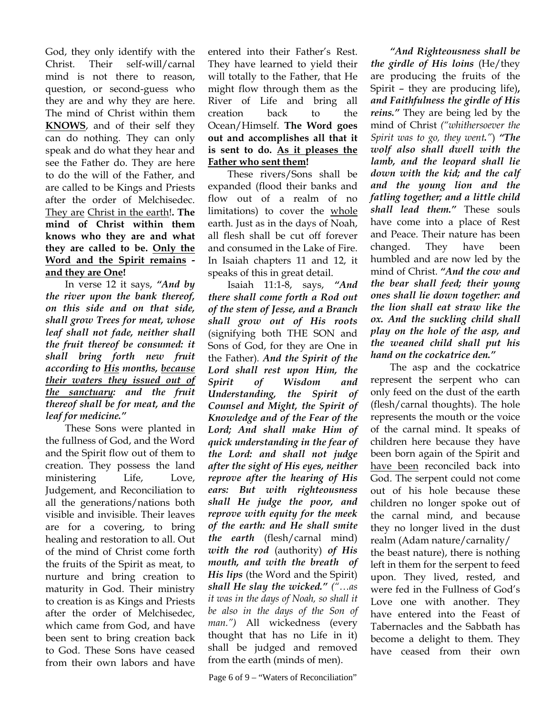God, they only identify with the Christ. Their self-will/carnal mind is not there to reason, question, or second-guess who they are and why they are here. The mind of Christ within them **KNOWS**, and of their self they can do nothing. They can only speak and do what they hear and see the Father do. They are here to do the will of the Father, and are called to be Kings and Priests after the order of Melchisedec. They are Christ in the earth!**. The mind of Christ within them knows who they are and what they are called to be. Only the Word and the Spirit remains and they are One!** 

In verse 12 it says, *"And by the river upon the bank thereof, on this side and on that side, shall grow Trees for meat, whose leaf shall not fade, neither shall the fruit thereof be consumed: it shall bring forth new fruit according to His months, because their waters they issued out of the sanctuary: and the fruit thereof shall be for meat, and the leaf for medicine."*

 These Sons were planted in the fullness of God, and the Word and the Spirit flow out of them to creation. They possess the land ministering Life, Love, Judgement, and Reconciliation to all the generations/nations both visible and invisible. Their leaves are for a covering, to bring healing and restoration to all. Out of the mind of Christ come forth the fruits of the Spirit as meat, to nurture and bring creation to maturity in God. Their ministry to creation is as Kings and Priests after the order of Melchisedec, which came from God, and have been sent to bring creation back to God. These Sons have ceased from their own labors and have

entered into their Father's Rest. They have learned to yield their will totally to the Father, that He might flow through them as the River of Life and bring all creation back to the Ocean/Himself. **The Word goes out and accomplishes all that it is sent to do. As it pleases the Father who sent them!** 

These rivers/Sons shall be expanded (flood their banks and flow out of a realm of no limitations) to cover the whole earth. Just as in the days of Noah, all flesh shall be cut off forever and consumed in the Lake of Fire. In Isaiah chapters 11 and 12, it speaks of this in great detail.

Isaiah 11:1-8, says, *"And there shall come forth a Rod out of the stem of Jesse, and a Branch shall grow out of His roots* (signifying both THE SON and Sons of God, for they are One in the Father)*. And the Spirit of the Lord shall rest upon Him, the Spirit of Wisdom and Understanding, the Spirit of Counsel and Might, the Spirit of Knowledge and of the Fear of the Lord; And shall make Him of quick understanding in the fear of the Lord: and shall not judge after the sight of His eyes, neither reprove after the hearing of His ears: But with righteousness shall He judge the poor, and reprove with equity for the meek of the earth: and He shall smite the earth* (flesh/carnal mind) *with the rod* (authority) *of His mouth, and with the breath**of His lips* (the Word and the Spirit) *shall He slay the wicked." ("…as it was in the days of Noah, so shall it be also in the days of the Son of man.")* All wickedness (every thought that has no Life in it) shall be judged and removed from the earth (minds of men).

Page 6 of 9 – "Waters of Reconciliation"

*"And Righteousness shall be the girdle of His loins* (He/they are producing the fruits of the Spirit – they are producing life)**,**  *and Faithfulness the girdle of His reins."* They are being led by the mind of Christ *("whithersoever the Spirit was to go, they went."*) *"The wolf also shall dwell with the lamb, and the leopard shall lie down with the kid; and the calf and the young lion and the fatling together; and a little child shall lead them."* These souls have come into a place of Rest and Peace. Their nature has been changed. They have been humbled and are now led by the mind of Christ. *"And the cow and the bear shall feed; their young ones shall lie down together: and the lion shall eat straw like the ox. And the suckling child shall play on the hole of the asp, and the weaned child shall put his hand on the cockatrice den."*

 The asp and the cockatrice represent the serpent who can only feed on the dust of the earth (flesh/carnal thoughts). The hole represents the mouth or the voice of the carnal mind. It speaks of children here because they have been born again of the Spirit and have been reconciled back into God. The serpent could not come out of his hole because these children no longer spoke out of the carnal mind, and because they no longer lived in the dust realm (Adam nature/carnality/ the beast nature), there is nothing left in them for the serpent to feed upon. They lived, rested, and were fed in the Fullness of God's Love one with another. They have entered into the Feast of Tabernacles and the Sabbath has become a delight to them. They have ceased from their own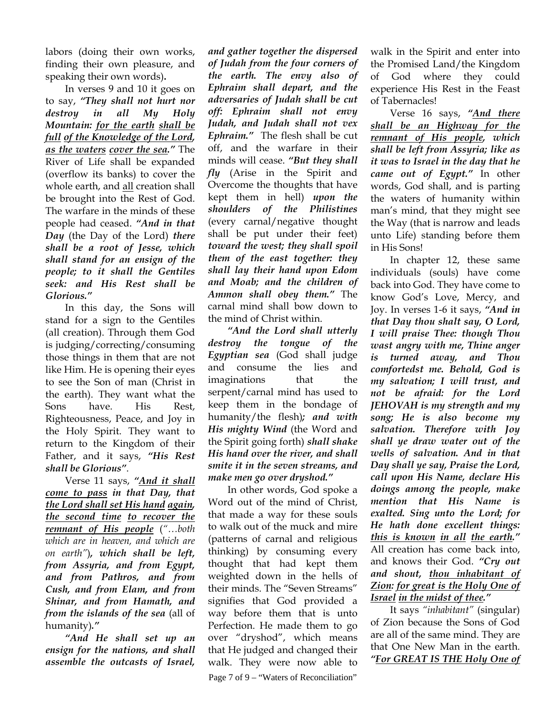labors (doing their own works, finding their own pleasure, and speaking their own words)**.**

 In verses 9 and 10 it goes on to say, *"They shall not hurt nor destroy in all My Holy Mountain: for the earth shall be full of the Knowledge of the Lord, as the waters cover the sea."* The River of Life shall be expanded (overflow its banks) to cover the whole earth, and all creation shall be brought into the Rest of God. The warfare in the minds of these people had ceased. *"And in that Day* (the Day of the Lord) *there shall be a root of Jesse, which shall stand for an ensign of the people; to it shall the Gentiles seek: and His Rest shall be Glorious."*

 In this day, the Sons will stand for a sign to the Gentiles (all creation). Through them God is judging/correcting/consuming those things in them that are not like Him. He is opening their eyes to see the Son of man (Christ in the earth). They want what the Sons have. His Rest, Righteousness, Peace, and Joy in the Holy Spirit. They want to return to the Kingdom of their Father, and it says, *"His Rest shall be Glorious"*.

 Verse 11 says, *"And it shall come to pass in that Day, that the Lord shall set His hand again, the second time to recover the remnant of His people* (*"…both which are in heaven, and which are on earth"*)*, which shall be left, from Assyria, and from Egypt, and from Pathros, and from Cush, and from Elam, and from Shinar, and from Hamath, and from the islands of the sea* (all of humanity)*."*

*"And He shall set up an ensign for the nations, and shall assemble the outcasts of Israel,* 

*and gather together the dispersed of Judah from the four corners of the earth. The envy also of Ephraim shall depart, and the adversaries of Judah shall be cut off: Ephraim shall not envy Judah, and Judah shall not vex Ephraim."*The flesh shall be cut off, and the warfare in their minds will cease. *"But they shall fly* (Arise in the Spirit and Overcome the thoughts that have kept them in hell) *upon the shoulders of the Philistines*  (every carnal/negative thought shall be put under their feet) *toward the west; they shall spoil them of the east together: they shall lay their hand upon Edom and Moab; and the children of Ammon shall obey them."* The carnal mind shall bow down to the mind of Christ within.

*"And the Lord shall utterly destroy the tongue of the Egyptian sea* (God shall judge and consume the lies and imaginations that the serpent/carnal mind has used to keep them in the bondage of humanity/the flesh)*; and with His mighty Wind* (the Word and the Spirit going forth) *shall shake His hand over the river, and shall smite it in the seven streams, and make men go over dryshod."*

 In other words, God spoke a Word out of the mind of Christ, that made a way for these souls to walk out of the muck and mire (patterns of carnal and religious thinking) by consuming every thought that had kept them weighted down in the hells of their minds. The "Seven Streams" signifies that God provided a way before them that is unto Perfection. He made them to go over "dryshod", which means that He judged and changed their walk. They were now able to Page 7 of 9 – "Waters of Reconciliation"

walk in the Spirit and enter into the Promised Land/the Kingdom of God where they could experience His Rest in the Feast of Tabernacles!

 Verse 16 says, *"And there shall be an Highway for the remnant of His people, which shall be left from Assyria; like as it was to Israel in the day that he came out of Egypt."* In other words, God shall, and is parting the waters of humanity within man's mind, that they might see the Way (that is narrow and leads unto Life) standing before them in His Sons!

 In chapter 12, these same individuals (souls) have come back into God. They have come to know God's Love, Mercy, and Joy. In verses 1-6 it says, *"And in that Day thou shalt say, O Lord, I will praise Thee: though Thou wast angry with me, Thine anger is turned away, and Thou comfortedst me. Behold, God is my salvation; I will trust, and not be afraid: for the Lord JEHOVAH is my strength and my song; He is also become my salvation. Therefore with Joy shall ye draw water out of the wells of salvation. And in that Day shall ye say, Praise the Lord, call upon His Name, declare His doings among the people, make mention that His Name is exalted. Sing unto the Lord; for He hath done excellent things: this is known in all the earth."* All creation has come back into, and knows their God. *"Cry out and shout, thou inhabitant of Zion: for great is the Holy One of Israel in the midst of thee."*

 It says *"inhabitant"* (singular) of Zion because the Sons of God are all of the same mind. They are that One New Man in the earth. *"For GREAT IS THE Holy One of*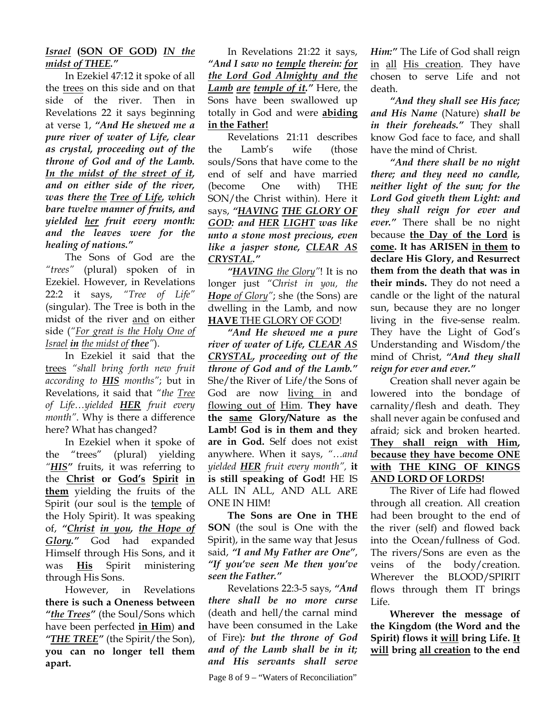## *Israel* **(SON OF GOD)** *IN the midst of THEE."*

 In Ezekiel 47:12 it spoke of all the trees on this side and on that side of the river. Then in Revelations 22 it says beginning at verse 1, *"And He shewed me a pure river of water of Life, clear as crystal, proceeding out of the throne of God and of the Lamb. In the midst of the street of it, and on either side of the river, was there the Tree of Life, which bare twelve manner of fruits, and yielded her fruit every month: and the leaves were for the healing of nations."*

 The Sons of God are the *"trees"* (plural) spoken of in Ezekiel. However, in Revelations 22:2 it says, *"Tree of Life"* (singular). The Tree is both in the midst of the river and on either side (*"For great is the Holy One of Israel in the midst of thee"*).

In Ezekiel it said that the trees *"shall bring forth new fruit according to HIS months"*; but in Revelations, it said that *"the Tree of Life…yielded HER fruit every month"*. Why is there a difference here? What has changed?

In Ezekiel when it spoke of the "trees" (plural) yielding *"HIS"* fruits, it was referring to the **Christ or God's Spirit in them** yielding the fruits of the Spirit (our soul is the temple of the Holy Spirit). It was speaking of, *"Christ in you, the Hope of Glory."* God had expanded Himself through His Sons, and it was **His** Spirit ministering through His Sons.

However, in Revelations **there is such a Oneness between**  *"the Trees"* (the Soul/Sons which have been perfected **in Him**) **and**  *"THE TREE"* (the Spirit/the Son), **you can no longer tell them apart.** 

In Revelations 21:22 it says, *"And I saw no temple therein: for the Lord God Almighty and the Lamb are temple of it."* Here, the Sons have been swallowed up totally in God and were **abiding in the Father!**

Revelations 21:11 describes the Lamb's wife (those souls/Sons that have come to the end of self and have married (become One with) THE SON/the Christ within). Here it says, *"HAVING THE GLORY OF GOD: and HER LIGHT was like unto a stone most precious, even like a jasper stone, CLEAR AS CRYSTAL."*

*"HAVING the Glory"*! It is no longer just *"Christ in you, the Hope of Glory"*; she (the Sons) are dwelling in the Lamb, and now **HAVE** THE GLORY OF GOD!

*"And He shewed me a pure river of water of Life, CLEAR AS CRYSTAL, proceeding out of the throne of God and of the Lamb."* She/the River of Life/the Sons of God are now living in and flowing out of Him. **They have the same Glory/Nature as the Lamb! God is in them and they are in God.** Self does not exist anywhere. When it says, *"…and yielded HER fruit every month",* **it is still speaking of God!** HE IS ALL IN ALL, AND ALL ARE ONE IN HIM!

**The Sons are One in THE SON** (the soul is One with the Spirit), in the same way that Jesus said, *"I and My Father are One"*, *"If you've seen Me then you've seen the Father."*

Revelations 22:3-5 says, *"And there shall be no more curse* (death and hell/the carnal mind have been consumed in the Lake of Fire)*: but the throne of God and of the Lamb shall be in it; and His servants shall serve* 

Page 8 of 9 – "Waters of Reconciliation"

*Him:"* The Life of God shall reign in all His creation. They have chosen to serve Life and not death.

*"And they shall see His face; and His Name* (Nature) *shall be in their foreheads."* They shall know God face to face, and shall have the mind of Christ.

*"And there shall be no night there; and they need no candle, neither light of the sun; for the Lord God giveth them Light: and they shall reign for ever and ever."* There shall be no night because **the Day of the Lord is come. It has ARISEN in them to declare His Glory, and Resurrect them from the death that was in their minds.** They do not need a candle or the light of the natural sun, because they are no longer living in the five-sense realm. They have the Light of God's Understanding and Wisdom/the mind of Christ, *"And they shall reign for ever and ever."*

Creation shall never again be lowered into the bondage of carnality/flesh and death. They shall never again be confused and afraid; sick and broken hearted. **They shall reign with Him, because they have become ONE with THE KING OF KINGS AND LORD OF LORDS!**

The River of Life had flowed through all creation. All creation had been brought to the end of the river (self) and flowed back into the Ocean/fullness of God. The rivers/Sons are even as the veins of the body/creation. Wherever the BLOOD/SPIRIT flows through them IT brings Life.

**Wherever the message of the Kingdom (the Word and the Spirit) flows it will bring Life. It will bring all creation to the end**